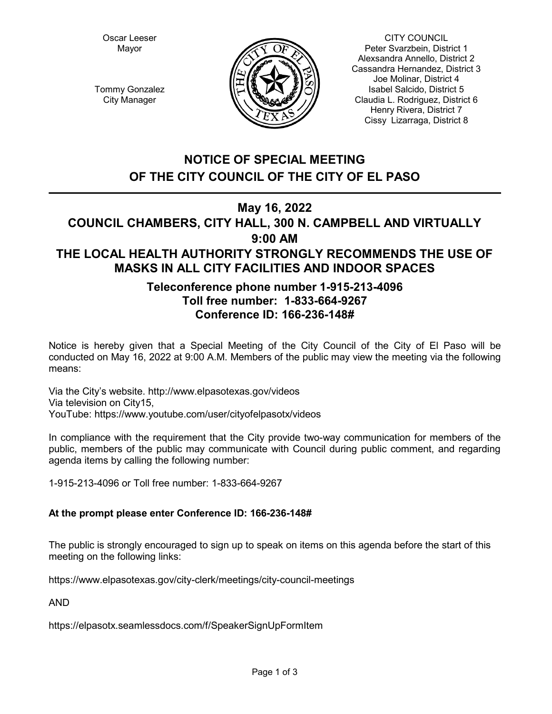Oscar Leeser Mayor



CITY COUNCIL Peter Svarzbein, District 1 Alexsandra Annello, District 2 Cassandra Hernandez, District 3 Joe Molinar, District 4 Isabel Salcido, District 5 Claudia L. Rodriguez, District 6 Henry Rivera, District 7 Cissy Lizarraga, District 8

Tommy Gonzalez City Manager

# **NOTICE OF SPECIAL MEETING OF THE CITY COUNCIL OF THE CITY OF EL PASO**

## **May 16, 2022**

# **COUNCIL CHAMBERS, CITY HALL, 300 N. CAMPBELL AND VIRTUALLY 9:00 AM THE LOCAL HEALTH AUTHORITY STRONGLY RECOMMENDS THE USE OF MASKS IN ALL CITY FACILITIES AND INDOOR SPACES**

# **Teleconference phone number 1-915-213-4096 Toll free number: 1-833-664-9267 Conference ID: 166-236-148#**

Notice is hereby given that a Special Meeting of the City Council of the City of El Paso will be conducted on May 16, 2022 at 9:00 A.M. Members of the public may view the meeting via the following means:

Via the City's website. http://www.elpasotexas.gov/videos Via television on City15, YouTube: https://www.youtube.com/user/cityofelpasotx/videos

In compliance with the requirement that the City provide two-way communication for members of the public, members of the public may communicate with Council during public comment, and regarding agenda items by calling the following number:

1-915-213-4096 or Toll free number: 1-833-664-9267

### **At the prompt please enter Conference ID: 166-236-148#**

The public is strongly encouraged to sign up to speak on items on this agenda before the start of this meeting on the following links:

https://www.elpasotexas.gov/city-clerk/meetings/city-council-meetings

AND

https://elpasotx.seamlessdocs.com/f/SpeakerSignUpFormItem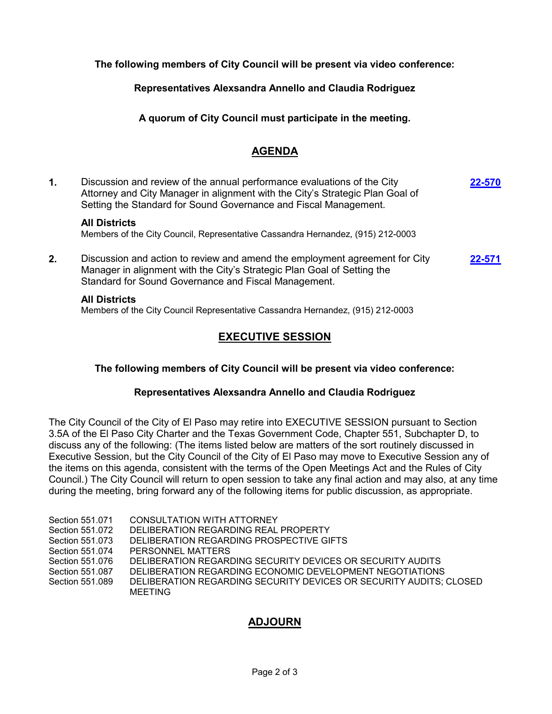**The following members of City Council will be present via video conference:**

**Representatives Alexsandra Annello and Claudia Rodriguez**

**A quorum of City Council must participate in the meeting.**

### **AGENDA**

| $\mathbf{1}$ . | Discussion and review of the annual performance evaluations of the City<br>Attorney and City Manager in alignment with the City's Strategic Plan Goal of<br>Setting the Standard for Sound Governance and Fiscal Management. | 22-570 |
|----------------|------------------------------------------------------------------------------------------------------------------------------------------------------------------------------------------------------------------------------|--------|
|                | <b>All Districts</b><br>Members of the City Council, Representative Cassandra Hernandez, (915) 212-0003                                                                                                                      |        |
| 2.             | Discussion and action to review and amend the employment agreement for City<br>Manager in alignment with the City's Strategic Plan Goal of Setting the<br>Standard for Sound Governance and Fiscal Management.               | 22-571 |

#### **All Districts**

Members of the City Council Representative Cassandra Hernandez, (915) 212-0003

### **EXECUTIVE SESSION**

### **The following members of City Council will be present via video conference:**

### **Representatives Alexsandra Annello and Claudia Rodriguez**

The City Council of the City of El Paso may retire into EXECUTIVE SESSION pursuant to Section 3.5A of the El Paso City Charter and the Texas Government Code, Chapter 551, Subchapter D, to discuss any of the following: (The items listed below are matters of the sort routinely discussed in Executive Session, but the City Council of the City of El Paso may move to Executive Session any of the items on this agenda, consistent with the terms of the Open Meetings Act and the Rules of City Council.) The City Council will return to open session to take any final action and may also, at any time during the meeting, bring forward any of the following items for public discussion, as appropriate.

| Section 551.071 | CONSULTATION WITH ATTORNEY                                         |
|-----------------|--------------------------------------------------------------------|
| Section 551.072 | DELIBERATION REGARDING REAL PROPERTY                               |
| Section 551.073 | DELIBERATION REGARDING PROSPECTIVE GIFTS                           |
| Section 551.074 | PERSONNEL MATTERS                                                  |
| Section 551.076 | DELIBERATION REGARDING SECURITY DEVICES OR SECURITY AUDITS         |
| Section 551,087 | DELIBERATION REGARDING ECONOMIC DEVELOPMENT NEGOTIATIONS           |
| Section 551.089 | DELIBERATION REGARDING SECURITY DEVICES OR SECURITY AUDITS: CLOSED |
|                 | MEETING                                                            |
|                 |                                                                    |

## **ADJOURN**